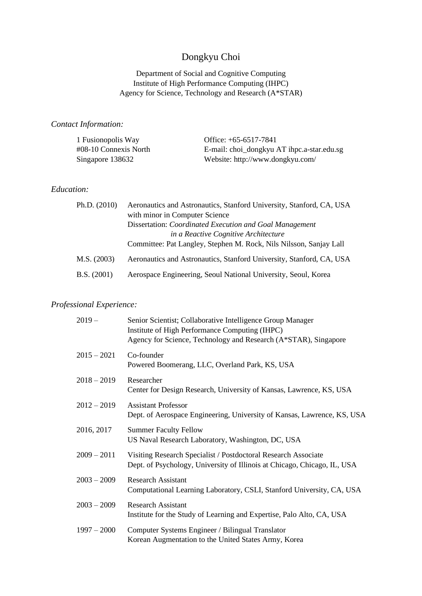# Dongkyu Choi

### Department of Social and Cognitive Computing Institute of High Performance Computing (IHPC) Agency for Science, Technology and Research (A\*STAR)

### *Contact Information:*

| 1 Fusionopolis Way       | Office: $+65-6517-7841$                    |
|--------------------------|--------------------------------------------|
| $\#08-10$ Connexis North | E-mail: choi_dongkyu AT ihpc.a-star.edu.sg |
| Singapore 138632         | Website: http://www.dongkyu.com/           |

### *Education:*

| Ph.D. $(2010)$ | Aeronautics and Astronautics, Stanford University, Stanford, CA, USA<br>with minor in Computer Science |  |
|----------------|--------------------------------------------------------------------------------------------------------|--|
|                |                                                                                                        |  |
|                | Dissertation: Coordinated Execution and Goal Management                                                |  |
|                | in a Reactive Cognitive Architecture                                                                   |  |
|                | Committee: Pat Langley, Stephen M. Rock, Nils Nilsson, Sanjay Lall                                     |  |
| M.S. (2003)    | Aeronautics and Astronautics, Stanford University, Stanford, CA, USA                                   |  |
| B.S. (2001)    | Aerospace Engineering, Seoul National University, Seoul, Korea                                         |  |

### *Professional Experience:*

| $2019-$       | Senior Scientist; Collaborative Intelligence Group Manager<br>Institute of High Performance Computing (IHPC)<br>Agency for Science, Technology and Research (A*STAR), Singapore |
|---------------|---------------------------------------------------------------------------------------------------------------------------------------------------------------------------------|
| $2015 - 2021$ | Co-founder<br>Powered Boomerang, LLC, Overland Park, KS, USA                                                                                                                    |
| $2018 - 2019$ | Researcher<br>Center for Design Research, University of Kansas, Lawrence, KS, USA                                                                                               |
| $2012 - 2019$ | <b>Assistant Professor</b><br>Dept. of Aerospace Engineering, University of Kansas, Lawrence, KS, USA                                                                           |
| 2016, 2017    | <b>Summer Faculty Fellow</b><br>US Naval Research Laboratory, Washington, DC, USA                                                                                               |
| $2009 - 2011$ | Visiting Research Specialist / Postdoctoral Research Associate<br>Dept. of Psychology, University of Illinois at Chicago, Chicago, IL, USA                                      |
| $2003 - 2009$ | <b>Research Assistant</b><br>Computational Learning Laboratory, CSLI, Stanford University, CA, USA                                                                              |
| $2003 - 2009$ | <b>Research Assistant</b><br>Institute for the Study of Learning and Expertise, Palo Alto, CA, USA                                                                              |
| $1997 - 2000$ | Computer Systems Engineer / Bilingual Translator<br>Korean Augmentation to the United States Army, Korea                                                                        |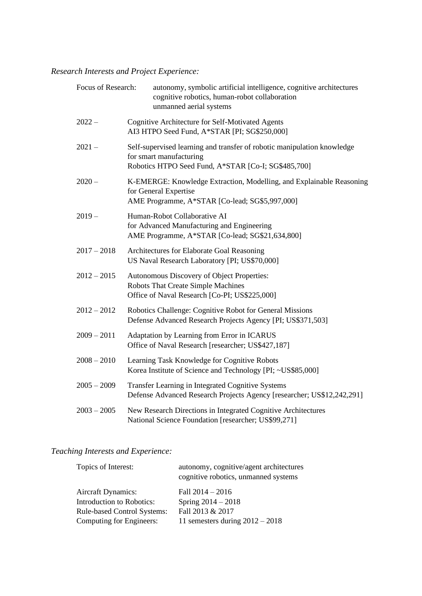# *Research Interests and Project Experience:*

| Focus of Research: | autonomy, symbolic artificial intelligence, cognitive architectures<br>cognitive robotics, human-robot collaboration<br>unmanned aerial systems           |  |
|--------------------|-----------------------------------------------------------------------------------------------------------------------------------------------------------|--|
| $2022 -$           | Cognitive Architecture for Self-Motivated Agents<br>AI3 HTPO Seed Fund, A*STAR [PI; SG\$250,000]                                                          |  |
| $2021 -$           | Self-supervised learning and transfer of robotic manipulation knowledge<br>for smart manufacturing<br>Robotics HTPO Seed Fund, A*STAR [Co-I; SG\$485,700] |  |
| $2020 -$           | K-EMERGE: Knowledge Extraction, Modelling, and Explainable Reasoning<br>for General Expertise<br>AME Programme, A*STAR [Co-lead; SG\$5,997,000]           |  |
| $2019 -$           | Human-Robot Collaborative AI<br>for Advanced Manufacturing and Engineering<br>AME Programme, A*STAR [Co-lead; SG\$21,634,800]                             |  |
| $2017 - 2018$      | Architectures for Elaborate Goal Reasoning<br>US Naval Research Laboratory [PI; US\$70,000]                                                               |  |
| $2012 - 2015$      | Autonomous Discovery of Object Properties:<br>Robots That Create Simple Machines<br>Office of Naval Research [Co-PI; US\$225,000]                         |  |
| $2012 - 2012$      | Robotics Challenge: Cognitive Robot for General Missions<br>Defense Advanced Research Projects Agency [PI; US\$371,503]                                   |  |
| $2009 - 2011$      | Adaptation by Learning from Error in ICARUS<br>Office of Naval Research [researcher; US\$427,187]                                                         |  |
| $2008 - 2010$      | Learning Task Knowledge for Cognitive Robots<br>Korea Institute of Science and Technology [PI; ~US\$85,000]                                               |  |
| $2005 - 2009$      | Transfer Learning in Integrated Cognitive Systems<br>Defense Advanced Research Projects Agency [researcher; US\$12,242,291]                               |  |
| $2003 - 2005$      | New Research Directions in Integrated Cognitive Architectures<br>National Science Foundation [researcher; US\$99,271]                                     |  |

# *Teaching Interests and Experience:*

| Topics of Interest:                | autonomy, cognitive/agent architectures<br>cognitive robotics, unmanned systems |
|------------------------------------|---------------------------------------------------------------------------------|
| <b>Aircraft Dynamics:</b>          | Fall $2014 - 2016$                                                              |
| Introduction to Robotics:          | Spring $2014 - 2018$                                                            |
| <b>Rule-based Control Systems:</b> | Fall 2013 & 2017                                                                |
| Computing for Engineers:           | 11 semesters during $2012 - 2018$                                               |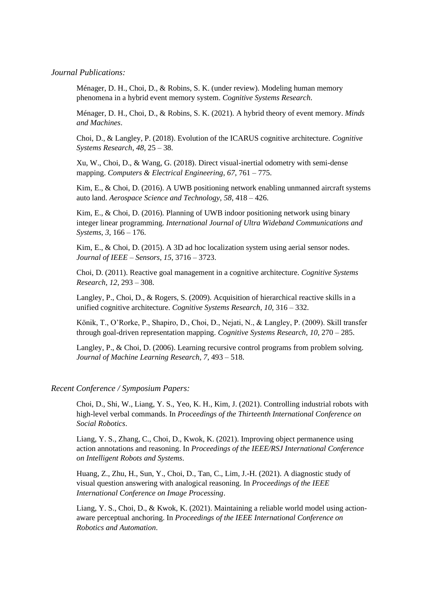#### *Journal Publications:*

Ménager, D. H., Choi, D., & Robins, S. K. (under review). Modeling human memory phenomena in a hybrid event memory system. *Cognitive Systems Research*.

Ménager, D. H., Choi, D., & Robins, S. K. (2021). A hybrid theory of event memory. *Minds and Machines*.

Choi, D., & Langley, P. (2018). Evolution of the ICARUS cognitive architecture. *Cognitive Systems Research*, *48*, 25 – 38.

Xu, W., Choi, D., & Wang, G. (2018). Direct visual-inertial odometry with semi-dense mapping. *Computers & Electrical Engineering*, *67*, 761 – 775.

Kim, E., & Choi, D. (2016). A UWB positioning network enabling unmanned aircraft systems auto land. *Aerospace Science and Technology*, *58*, 418 – 426.

Kim, E., & Choi, D. (2016). Planning of UWB indoor positioning network using binary integer linear programming. *International Journal of Ultra Wideband Communications and Systems*, *3*, 166 – 176.

Kim, E., & Choi, D. (2015). A 3D ad hoc localization system using aerial sensor nodes. *Journal of IEEE – Sensors*, *15*, 3716 – 3723.

Choi, D. (2011). Reactive goal management in a cognitive architecture. *Cognitive Systems Research*, *12*, 293 – 308.

Langley, P., Choi, D., & Rogers, S. (2009). Acquisition of hierarchical reactive skills in a unified cognitive architecture. *Cognitive Systems Research*, *10*, 316 – 332.

Könik, T., O'Rorke, P., Shapiro, D., Choi, D., Nejati, N., & Langley, P. (2009). Skill transfer through goal-driven representation mapping. *Cognitive Systems Research*, *10*, 270 – 285.

Langley, P., & Choi, D. (2006). Learning recursive control programs from problem solving. *Journal of Machine Learning Research*, *7*, 493 – 518.

#### *Recent Conference / Symposium Papers:*

Choi, D., Shi, W., Liang, Y. S., Yeo, K. H., Kim, J. (2021). Controlling industrial robots with high-level verbal commands. In *Proceedings of the Thirteenth International Conference on Social Robotics*.

Liang, Y. S., Zhang, C., Choi, D., Kwok, K. (2021). Improving object permanence using action annotations and reasoning. In *Proceedings of the IEEE/RSJ International Conference on Intelligent Robots and Systems*.

Huang, Z., Zhu, H., Sun, Y., Choi, D., Tan, C., Lim, J.-H. (2021). A diagnostic study of visual question answering with analogical reasoning. In *Proceedings of the IEEE International Conference on Image Processing*.

Liang, Y. S., Choi, D., & Kwok, K. (2021). Maintaining a reliable world model using actionaware perceptual anchoring. In *Proceedings of the IEEE International Conference on Robotics and Automation*.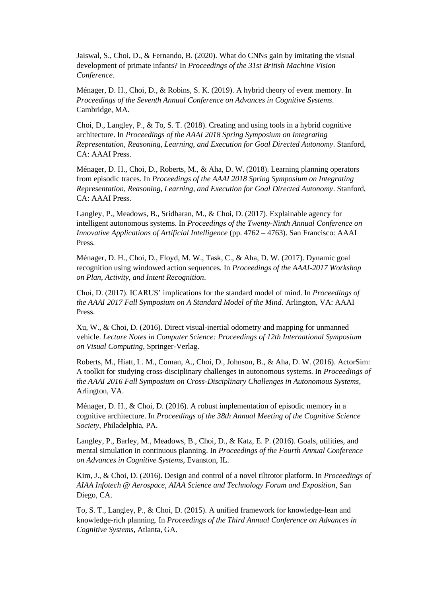Jaiswal, S., Choi, D., & Fernando, B. (2020). What do CNNs gain by imitating the visual development of primate infants? In *Proceedings of the 31st British Machine Vision Conference*.

Ménager, D. H., Choi, D., & Robins, S. K. (2019). A hybrid theory of event memory. In *Proceedings of the Seventh Annual Conference on Advances in Cognitive Systems*. Cambridge, MA.

Choi, D., Langley, P., & To, S. T. (2018). Creating and using tools in a hybrid cognitive architecture. In *Proceedings of the AAAI 2018 Spring Symposium on Integrating Representation, Reasoning, Learning, and Execution for Goal Directed Autonomy*. Stanford, CA: AAAI Press.

Ménager, D. H., Choi, D., Roberts, M., & Aha, D. W. (2018). Learning planning operators from episodic traces. In *Proceedings of the AAAI 2018 Spring Symposium on Integrating Representation, Reasoning, Learning, and Execution for Goal Directed Autonomy*. Stanford, CA: AAAI Press.

Langley, P., Meadows, B., Sridharan, M., & Choi, D. (2017). Explainable agency for intelligent autonomous systems. In *Proceedings of the Twenty-Ninth Annual Conference on Innovative Applications of Artificial Intelligence* (pp. 4762 – 4763). San Francisco: AAAI Press.

Ménager, D. H., Choi, D., Floyd, M. W., Task, C., & Aha, D. W. (2017). Dynamic goal recognition using windowed action sequences. In *Proceedings of the AAAI-2017 Workshop on Plan, Activity, and Intent Recognition*.

Choi, D. (2017). ICARUS' implications for the standard model of mind. In *Proceedings of the AAAI 2017 Fall Symposium on A Standard Model of the Mind*. Arlington, VA: AAAI Press.

Xu, W., & Choi, D. (2016). Direct visual-inertial odometry and mapping for unmanned vehicle. *Lecture Notes in Computer Science: Proceedings of 12th International Symposium on Visual Computing*, Springer-Verlag.

Roberts, M., Hiatt, L. M., Coman, A., Choi, D., Johnson, B., & Aha, D. W. (2016). ActorSim: A toolkit for studying cross-disciplinary challenges in autonomous systems. In *Proceedings of the AAAI 2016 Fall Symposium on Cross-Disciplinary Challenges in Autonomous Systems*, Arlington, VA.

Ménager, D. H., & Choi, D. (2016). A robust implementation of episodic memory in a cognitive architecture. In *Proceedings of the 38th Annual Meeting of the Cognitive Science Society*, Philadelphia, PA.

Langley, P., Barley, M., Meadows, B., Choi, D., & Katz, E. P. (2016). Goals, utilities, and mental simulation in continuous planning. In *Proceedings of the Fourth Annual Conference on Advances in Cognitive Systems*, Evanston, IL.

Kim, J., & Choi, D. (2016). Design and control of a novel tiltrotor platform. In *Proceedings of AIAA Infotech @ Aerospace, AIAA Science and Technology Forum and Exposition*, San Diego, CA.

To, S. T., Langley, P., & Choi, D. (2015). A unified framework for knowledge-lean and knowledge-rich planning. In *Proceedings of the Third Annual Conference on Advances in Cognitive Systems*, Atlanta, GA.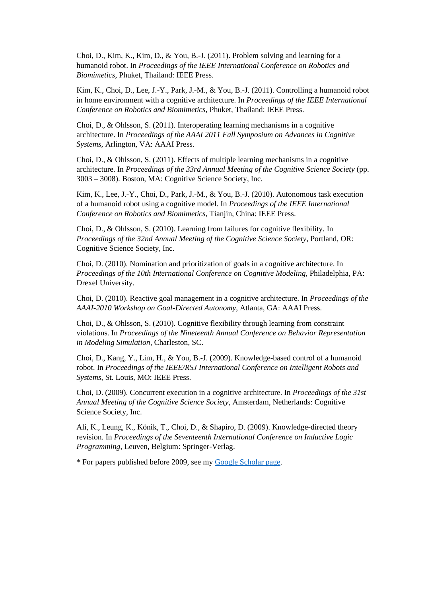Choi, D., Kim, K., Kim, D., & You, B.-J. (2011). Problem solving and learning for a humanoid robot. In *Proceedings of the IEEE International Conference on Robotics and Biomimetics*, Phuket, Thailand: IEEE Press.

Kim, K., Choi, D., Lee, J.-Y., Park, J.-M., & You, B.-J. (2011). Controlling a humanoid robot in home environment with a cognitive architecture. In *Proceedings of the IEEE International Conference on Robotics and Biomimetics*, Phuket, Thailand: IEEE Press.

Choi, D., & Ohlsson, S. (2011). Interoperating learning mechanisms in a cognitive architecture. In *Proceedings of the AAAI 2011 Fall Symposium on Advances in Cognitive Systems*, Arlington, VA: AAAI Press.

Choi, D., & Ohlsson, S. (2011). Effects of multiple learning mechanisms in a cognitive architecture. In *Proceedings of the 33rd Annual Meeting of the Cognitive Science Society* (pp. 3003 – 3008). Boston, MA: Cognitive Science Society, Inc.

Kim, K., Lee, J.-Y., Choi, D., Park, J.-M., & You, B.-J. (2010). Autonomous task execution of a humanoid robot using a cognitive model. In *Proceedings of the IEEE International Conference on Robotics and Biomimetics*, Tianjin, China: IEEE Press.

Choi, D., & Ohlsson, S. (2010). Learning from failures for cognitive flexibility. In *Proceedings of the 32nd Annual Meeting of the Cognitive Science Society*, Portland, OR: Cognitive Science Society, Inc.

Choi, D. (2010). Nomination and prioritization of goals in a cognitive architecture. In *Proceedings of the 10th International Conference on Cognitive Modeling*, Philadelphia, PA: Drexel University.

Choi, D. (2010). Reactive goal management in a cognitive architecture. In *Proceedings of the AAAI-2010 Workshop on Goal-Directed Autonomy*, Atlanta, GA: AAAI Press.

Choi, D., & Ohlsson, S. (2010). Cognitive flexibility through learning from constraint violations. In *Proceedings of the Nineteenth Annual Conference on Behavior Representation in Modeling Simulation*, Charleston, SC.

Choi, D., Kang, Y., Lim, H., & You, B.-J. (2009). Knowledge-based control of a humanoid robot. In *Proceedings of the IEEE/RSJ International Conference on Intelligent Robots and Systems*, St. Louis, MO: IEEE Press.

Choi, D. (2009). Concurrent execution in a cognitive architecture. In *Proceedings of the 31st Annual Meeting of the Cognitive Science Society*, Amsterdam, Netherlands: Cognitive Science Society, Inc.

Ali, K., Leung, K., Könik, T., Choi, D., & Shapiro, D. (2009). Knowledge-directed theory revision. In *Proceedings of the Seventeenth International Conference on Inductive Logic Programming*, Leuven, Belgium: Springer-Verlag.

\* For papers published before 2009, see my [Google Scholar page.](https://scholar.google.com/citations?user=bUQlm-cAAAAJ&hl=en)